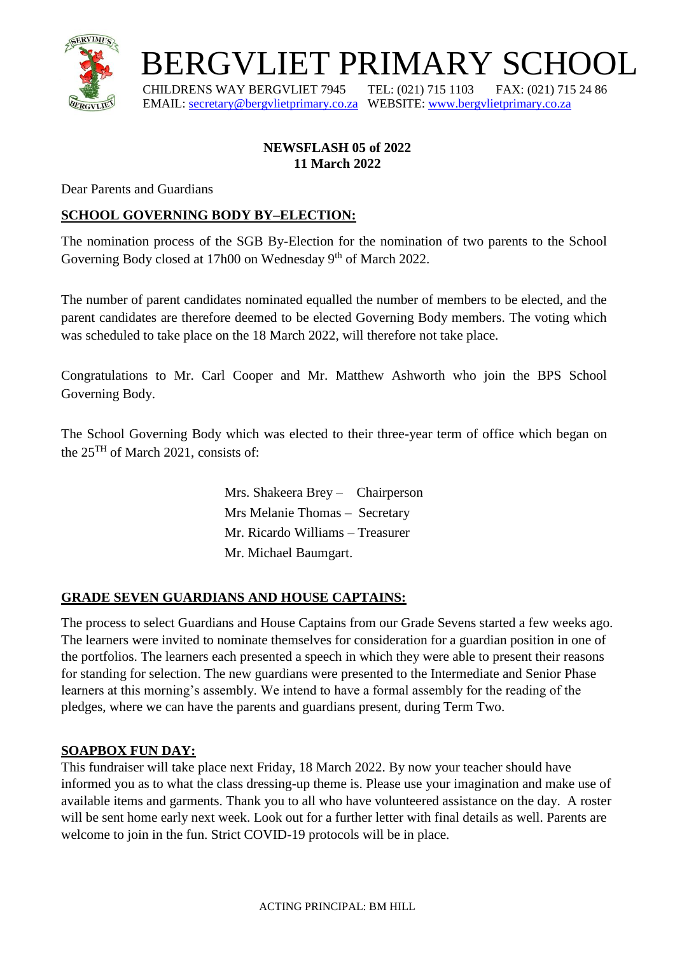

BERGVLIET PRIMARY SCHOOL

 CHILDRENS WAY BERGVLIET 7945 TEL: (021) 715 1103 FAX: (021) 715 24 86 EMAIL: [secretary@bergvlietprimary.co.za](mailto:secretary@bergvlietprimary.co.za) WEBSITE[: www.bergvlietprimary.co.za](http://www.bergvlietprimary.co.za/)

## **NEWSFLASH 05 of 2022 11 March 2022**

Dear Parents and Guardians

## **SCHOOL GOVERNING BODY BY–ELECTION:**

The nomination process of the SGB By-Election for the nomination of two parents to the School Governing Body closed at 17h00 on Wednesday 9<sup>th</sup> of March 2022.

The number of parent candidates nominated equalled the number of members to be elected, and the parent candidates are therefore deemed to be elected Governing Body members. The voting which was scheduled to take place on the 18 March 2022, will therefore not take place.

Congratulations to Mr. Carl Cooper and Mr. Matthew Ashworth who join the BPS School Governing Body.

The School Governing Body which was elected to their three-year term of office which began on the 25TH of March 2021, consists of:

> Mrs. Shakeera Brey – Chairperson Mrs Melanie Thomas – Secretary Mr. Ricardo Williams – Treasurer Mr. Michael Baumgart.

## **GRADE SEVEN GUARDIANS AND HOUSE CAPTAINS:**

The process to select Guardians and House Captains from our Grade Sevens started a few weeks ago. The learners were invited to nominate themselves for consideration for a guardian position in one of the portfolios. The learners each presented a speech in which they were able to present their reasons for standing for selection. The new guardians were presented to the Intermediate and Senior Phase learners at this morning's assembly. We intend to have a formal assembly for the reading of the pledges, where we can have the parents and guardians present, during Term Two.

#### **SOAPBOX FUN DAY:**

This fundraiser will take place next Friday, 18 March 2022. By now your teacher should have informed you as to what the class dressing-up theme is. Please use your imagination and make use of available items and garments. Thank you to all who have volunteered assistance on the day. A roster will be sent home early next week. Look out for a further letter with final details as well. Parents are welcome to join in the fun. Strict COVID-19 protocols will be in place.